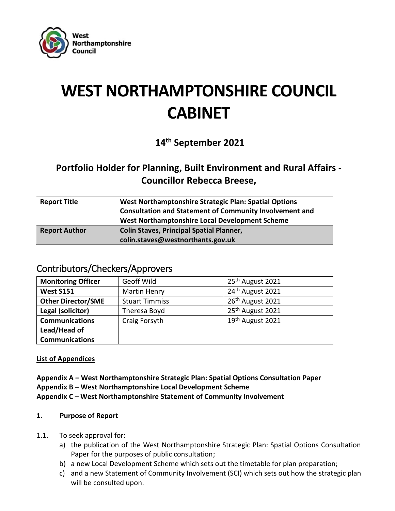

# **WEST NORTHAMPTONSHIRE COUNCIL CABINET**

**14th September 2021**

# **Portfolio Holder for Planning, Built Environment and Rural Affairs - Councillor Rebecca Breese,**

| West Northamptonshire Strategic Plan: Spatial Options          |
|----------------------------------------------------------------|
| <b>Consultation and Statement of Community Involvement and</b> |
| West Northamptonshire Local Development Scheme                 |
| <b>Colin Staves, Principal Spatial Planner,</b>                |
| colin.staves@westnorthants.gov.uk                              |
|                                                                |

# Contributors/Checkers/Approvers

| <b>Monitoring Officer</b> | Geoff Wild            | 25 <sup>th</sup> August 2021 |
|---------------------------|-----------------------|------------------------------|
| <b>West S151</b>          | <b>Martin Henry</b>   | 24 <sup>th</sup> August 2021 |
| <b>Other Director/SME</b> | <b>Stuart Timmiss</b> | 26 <sup>th</sup> August 2021 |
| Legal (solicitor)         | Theresa Boyd          | 25 <sup>th</sup> August 2021 |
| <b>Communications</b>     | Craig Forsyth         | 19 <sup>th</sup> August 2021 |
| Lead/Head of              |                       |                              |
| <b>Communications</b>     |                       |                              |

**List of Appendices**

**Appendix A – West Northamptonshire Strategic Plan: Spatial Options Consultation Paper Appendix B – West Northamptonshire Local Development Scheme Appendix C – West Northamptonshire Statement of Community Involvement**

# **1. Purpose of Report**

- 1.1. To seek approval for:
	- a) the publication of the West Northamptonshire Strategic Plan: Spatial Options Consultation Paper for the purposes of public consultation;
	- b) a new Local Development Scheme which sets out the timetable for plan preparation;
	- c) and a new Statement of Community Involvement (SCI) which sets out how the strategic plan will be consulted upon.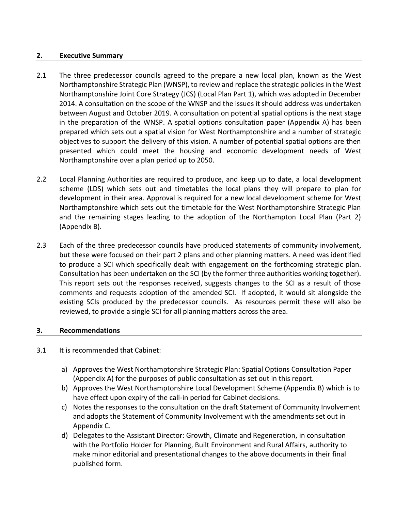#### **2. Executive Summary**

- 2.1 The three predecessor councils agreed to the prepare a new local plan, known as the West Northamptonshire Strategic Plan (WNSP), to review and replace the strategic policies in the West Northamptonshire Joint Core Strategy (JCS) (Local Plan Part 1), which was adopted in December 2014. A consultation on the scope of the WNSP and the issues it should address was undertaken between August and October 2019. A consultation on potential spatial options is the next stage in the preparation of the WNSP. A spatial options consultation paper (Appendix A) has been prepared which sets out a spatial vision for West Northamptonshire and a number of strategic objectives to support the delivery of this vision. A number of potential spatial options are then presented which could meet the housing and economic development needs of West Northamptonshire over a plan period up to 2050.
- 2.2 Local Planning Authorities are required to produce, and keep up to date, a local development scheme (LDS) which sets out and timetables the local plans they will prepare to plan for development in their area. Approval is required for a new local development scheme for West Northamptonshire which sets out the timetable for the West Northamptonshire Strategic Plan and the remaining stages leading to the adoption of the Northampton Local Plan (Part 2) (Appendix B).
- 2.3 Each of the three predecessor councils have produced statements of community involvement, but these were focused on their part 2 plans and other planning matters. A need was identified to produce a SCI which specifically dealt with engagement on the forthcoming strategic plan. Consultation has been undertaken on the SCI (by the former three authorities working together). This report sets out the responses received, suggests changes to the SCI as a result of those comments and requests adoption of the amended SCI. If adopted, it would sit alongside the existing SCIs produced by the predecessor councils. As resources permit these will also be reviewed, to provide a single SCI for all planning matters across the area.

#### **3. Recommendations**

- 3.1 It is recommended that Cabinet:
	- a) Approves the West Northamptonshire Strategic Plan: Spatial Options Consultation Paper (Appendix A) for the purposes of public consultation as set out in this report.
	- b) Approves the West Northamptonshire Local Development Scheme (Appendix B) which is to have effect upon expiry of the call-in period for Cabinet decisions.
	- c) Notes the responses to the consultation on the draft Statement of Community Involvement and adopts the Statement of Community Involvement with the amendments set out in Appendix C.
	- d) Delegates to the Assistant Director: Growth, Climate and Regeneration, in consultation with the Portfolio Holder for Planning, Built Environment and Rural Affairs, authority to make minor editorial and presentational changes to the above documents in their final published form.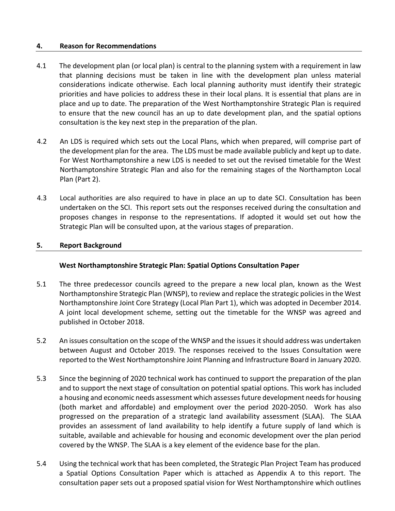#### **4. Reason for Recommendations**

- 4.1 The development plan (or local plan) is central to the planning system with a requirement in law that planning decisions must be taken in line with the development plan unless material considerations indicate otherwise. Each local planning authority must identify their strategic priorities and have policies to address these in their local plans. It is essential that plans are in place and up to date. The preparation of the West Northamptonshire Strategic Plan is required to ensure that the new council has an up to date development plan, and the spatial options consultation is the key next step in the preparation of the plan.
- 4.2 An LDS is required which sets out the Local Plans, which when prepared, will comprise part of the development plan for the area. The LDS must be made available publicly and kept up to date. For West Northamptonshire a new LDS is needed to set out the revised timetable for the West Northamptonshire Strategic Plan and also for the remaining stages of the Northampton Local Plan (Part 2).
- 4.3 Local authorities are also required to have in place an up to date SCI. Consultation has been undertaken on the SCI. This report sets out the responses received during the consultation and proposes changes in response to the representations. If adopted it would set out how the Strategic Plan will be consulted upon, at the various stages of preparation.

#### **5. Report Background**

#### **West Northamptonshire Strategic Plan: Spatial Options Consultation Paper**

- 5.1 The three predecessor councils agreed to the prepare a new local plan, known as the West Northamptonshire Strategic Plan (WNSP), to review and replace the strategic policies in the West Northamptonshire Joint Core Strategy (Local Plan Part 1), which was adopted in December 2014. A joint local development scheme, setting out the timetable for the WNSP was agreed and published in October 2018.
- 5.2 An issues consultation on the scope of the WNSP and the issues it should address was undertaken between August and October 2019. The responses received to the Issues Consultation were reported to the West Northamptonshire Joint Planning and Infrastructure Board in January 2020.
- 5.3 Since the beginning of 2020 technical work has continued to support the preparation of the plan and to support the next stage of consultation on potential spatial options. This work has included a housing and economic needs assessment which assesses future development needs for housing (both market and affordable) and employment over the period 2020-2050. Work has also progressed on the preparation of a strategic land availability assessment (SLAA). The SLAA provides an assessment of land availability to help identify a future supply of land which is suitable, available and achievable for housing and economic development over the plan period covered by the WNSP. The SLAA is a key element of the evidence base for the plan.
- 5.4 Using the technical work that has been completed, the Strategic Plan Project Team has produced a Spatial Options Consultation Paper which is attached as Appendix A to this report. The consultation paper sets out a proposed spatial vision for West Northamptonshire which outlines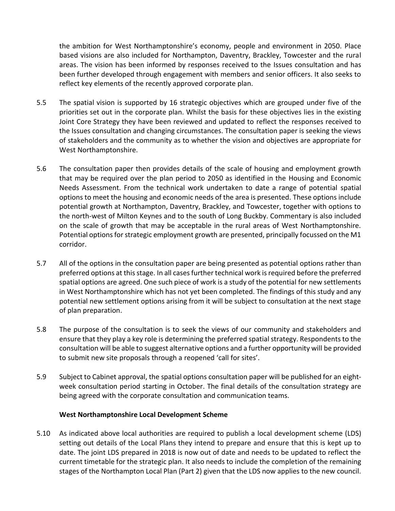the ambition for West Northamptonshire's economy, people and environment in 2050. Place based visions are also included for Northampton, Daventry, Brackley, Towcester and the rural areas. The vision has been informed by responses received to the Issues consultation and has been further developed through engagement with members and senior officers. It also seeks to reflect key elements of the recently approved corporate plan.

- 5.5 The spatial vision is supported by 16 strategic objectives which are grouped under five of the priorities set out in the corporate plan. Whilst the basis for these objectives lies in the existing Joint Core Strategy they have been reviewed and updated to reflect the responses received to the Issues consultation and changing circumstances. The consultation paper is seeking the views of stakeholders and the community as to whether the vision and objectives are appropriate for West Northamptonshire.
- 5.6 The consultation paper then provides details of the scale of housing and employment growth that may be required over the plan period to 2050 as identified in the Housing and Economic Needs Assessment. From the technical work undertaken to date a range of potential spatial options to meet the housing and economic needs of the area is presented. These options include potential growth at Northampton, Daventry, Brackley, and Towcester, together with options to the north-west of Milton Keynes and to the south of Long Buckby. Commentary is also included on the scale of growth that may be acceptable in the rural areas of West Northamptonshire. Potential options for strategic employment growth are presented, principally focussed on the M1 corridor.
- 5.7 All of the options in the consultation paper are being presented as potential options rather than preferred options at this stage. In all cases further technical work is required before the preferred spatial options are agreed. One such piece of work is a study of the potential for new settlements in West Northamptonshire which has not yet been completed. The findings of this study and any potential new settlement options arising from it will be subject to consultation at the next stage of plan preparation.
- 5.8 The purpose of the consultation is to seek the views of our community and stakeholders and ensure that they play a key role is determining the preferred spatial strategy. Respondents to the consultation will be able to suggest alternative options and a further opportunity will be provided to submit new site proposals through a reopened 'call for sites'.
- 5.9 Subject to Cabinet approval, the spatial options consultation paper will be published for an eightweek consultation period starting in October. The final details of the consultation strategy are being agreed with the corporate consultation and communication teams.

# **West Northamptonshire Local Development Scheme**

5.10 As indicated above local authorities are required to publish a local development scheme (LDS) setting out details of the Local Plans they intend to prepare and ensure that this is kept up to date. The joint LDS prepared in 2018 is now out of date and needs to be updated to reflect the current timetable for the strategic plan. It also needs to include the completion of the remaining stages of the Northampton Local Plan (Part 2) given that the LDS now applies to the new council.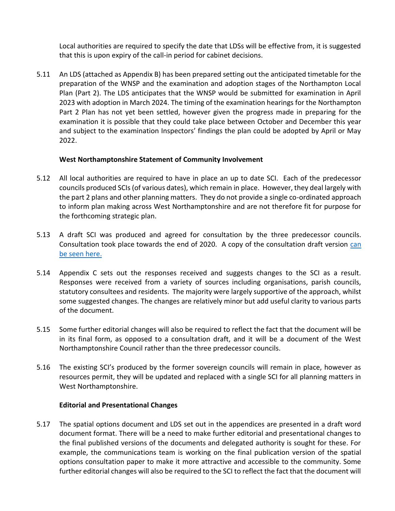Local authorities are required to specify the date that LDSs will be effective from, it is suggested that this is upon expiry of the call-in period for cabinet decisions.

5.11 An LDS (attached as Appendix B) has been prepared setting out the anticipated timetable for the preparation of the WNSP and the examination and adoption stages of the Northampton Local Plan (Part 2). The LDS anticipates that the WNSP would be submitted for examination in April 2023 with adoption in March 2024. The timing of the examination hearings for the Northampton Part 2 Plan has not yet been settled, however given the progress made in preparing for the examination it is possible that they could take place between October and December this year and subject to the examination Inspectors' findings the plan could be adopted by April or May 2022.

# **West Northamptonshire Statement of Community Involvement**

- 5.12 All local authorities are required to have in place an up to date SCI. Each of the predecessor councils produced SCIs (of various dates), which remain in place. However, they deal largely with the part 2 plans and other planning matters. They do not provide a single co-ordinated approach to inform plan making across West Northamptonshire and are not therefore fit for purpose for the forthcoming strategic plan.
- 5.13 A draft SCI was produced and agreed for consultation by the three predecessor councils. Consultation took place towards the end of 2020. A copy of the consultation draft version can [be seen here.](https://westnorthantsplan.inconsult.uk/WNSP_SCI/consultationHome)
- 5.14 Appendix C sets out the responses received and suggests changes to the SCI as a result. Responses were received from a variety of sources including organisations, parish councils, statutory consultees and residents. The majority were largely supportive of the approach, whilst some suggested changes. The changes are relatively minor but add useful clarity to various parts of the document.
- 5.15 Some further editorial changes will also be required to reflect the fact that the document will be in its final form, as opposed to a consultation draft, and it will be a document of the West Northamptonshire Council rather than the three predecessor councils.
- 5.16 The existing SCI's produced by the former sovereign councils will remain in place, however as resources permit, they will be updated and replaced with a single SCI for all planning matters in West Northamptonshire.

#### **Editorial and Presentational Changes**

5.17 The spatial options document and LDS set out in the appendices are presented in a draft word document format. There will be a need to make further editorial and presentational changes to the final published versions of the documents and delegated authority is sought for these. For example, the communications team is working on the final publication version of the spatial options consultation paper to make it more attractive and accessible to the community. Some further editorial changes will also be required to the SCI to reflect the fact that the document will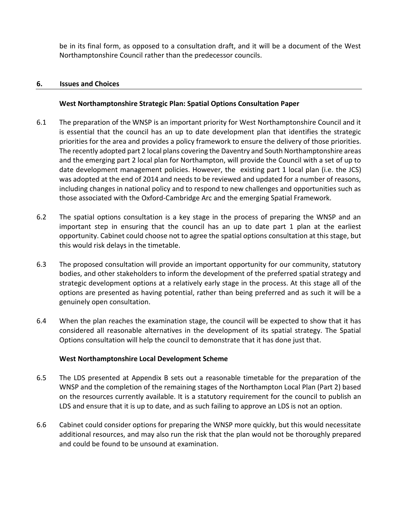be in its final form, as opposed to a consultation draft, and it will be a document of the West Northamptonshire Council rather than the predecessor councils.

#### **6. Issues and Choices**

#### **West Northamptonshire Strategic Plan: Spatial Options Consultation Paper**

- 6.1 The preparation of the WNSP is an important priority for West Northamptonshire Council and it is essential that the council has an up to date development plan that identifies the strategic priorities for the area and provides a policy framework to ensure the delivery of those priorities. The recently adopted part 2 local plans covering the Daventry and South Northamptonshire areas and the emerging part 2 local plan for Northampton, will provide the Council with a set of up to date development management policies. However, the existing part 1 local plan (i.e. the JCS) was adopted at the end of 2014 and needs to be reviewed and updated for a number of reasons, including changes in national policy and to respond to new challenges and opportunities such as those associated with the Oxford-Cambridge Arc and the emerging Spatial Framework.
- 6.2 The spatial options consultation is a key stage in the process of preparing the WNSP and an important step in ensuring that the council has an up to date part 1 plan at the earliest opportunity. Cabinet could choose not to agree the spatial options consultation at this stage, but this would risk delays in the timetable.
- 6.3 The proposed consultation will provide an important opportunity for our community, statutory bodies, and other stakeholders to inform the development of the preferred spatial strategy and strategic development options at a relatively early stage in the process. At this stage all of the options are presented as having potential, rather than being preferred and as such it will be a genuinely open consultation.
- 6.4 When the plan reaches the examination stage, the council will be expected to show that it has considered all reasonable alternatives in the development of its spatial strategy. The Spatial Options consultation will help the council to demonstrate that it has done just that.

#### **West Northamptonshire Local Development Scheme**

- 6.5 The LDS presented at Appendix B sets out a reasonable timetable for the preparation of the WNSP and the completion of the remaining stages of the Northampton Local Plan (Part 2) based on the resources currently available. It is a statutory requirement for the council to publish an LDS and ensure that it is up to date, and as such failing to approve an LDS is not an option.
- 6.6 Cabinet could consider options for preparing the WNSP more quickly, but this would necessitate additional resources, and may also run the risk that the plan would not be thoroughly prepared and could be found to be unsound at examination.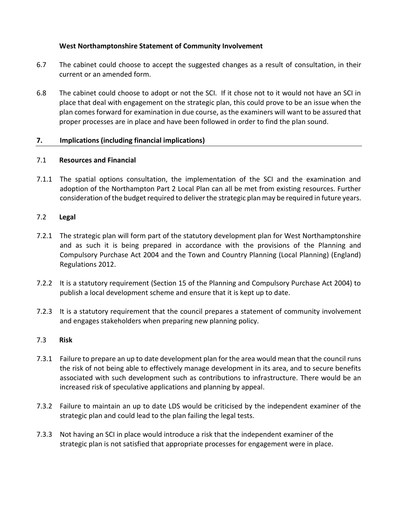# **West Northamptonshire Statement of Community Involvement**

- 6.7 The cabinet could choose to accept the suggested changes as a result of consultation, in their current or an amended form.
- 6.8 The cabinet could choose to adopt or not the SCI. If it chose not to it would not have an SCI in place that deal with engagement on the strategic plan, this could prove to be an issue when the plan comes forward for examination in due course, as the examiners will want to be assured that proper processes are in place and have been followed in order to find the plan sound.

# **7. Implications (including financial implications)**

# 7.1 **Resources and Financial**

7.1.1 The spatial options consultation, the implementation of the SCI and the examination and adoption of the Northampton Part 2 Local Plan can all be met from existing resources. Further consideration of the budget required to deliver the strategic plan may be required in future years.

# 7.2 **Legal**

- 7.2.1 The strategic plan will form part of the statutory development plan for West Northamptonshire and as such it is being prepared in accordance with the provisions of the Planning and Compulsory Purchase Act 2004 and the Town and Country Planning (Local Planning) (England) Regulations 2012.
- 7.2.2 It is a statutory requirement (Section 15 of the Planning and Compulsory Purchase Act 2004) to publish a local development scheme and ensure that it is kept up to date.
- 7.2.3 It is a statutory requirement that the council prepares a statement of community involvement and engages stakeholders when preparing new planning policy.

#### 7.3 **Risk**

- 7.3.1 Failure to prepare an up to date development plan for the area would mean that the council runs the risk of not being able to effectively manage development in its area, and to secure benefits associated with such development such as contributions to infrastructure. There would be an increased risk of speculative applications and planning by appeal.
- 7.3.2 Failure to maintain an up to date LDS would be criticised by the independent examiner of the strategic plan and could lead to the plan failing the legal tests.
- 7.3.3 Not having an SCI in place would introduce a risk that the independent examiner of the strategic plan is not satisfied that appropriate processes for engagement were in place.